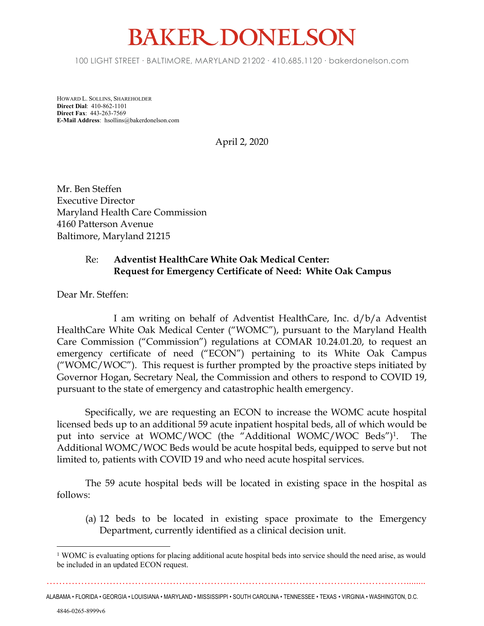## **BAKER DONELSON**

100 LIGHT STREET • BALTIMORE, MARYLAND 21202 • 410.685.1120 • bakerdonelson.com

HOWARD L. SOLLINS, SHAREHOLDER **Direct Dial**: 410-862-1101 **Direct Fax**: 443-263-7569 **E-Mail Address**: hsollins@bakerdonelson.com

April 2, 2020

Mr. Ben Steffen Executive Director Maryland Health Care Commission 4160 Patterson Avenue Baltimore, Maryland 21215

## Re: **Adventist HealthCare White Oak Medical Center: Request for Emergency Certificate of Need: White Oak Campus**

Dear Mr. Steffen:

I am writing on behalf of Adventist HealthCare, Inc. d/b/a Adventist HealthCare White Oak Medical Center ("WOMC"), pursuant to the Maryland Health Care Commission ("Commission") regulations at COMAR 10.24.01.20, to request an emergency certificate of need ("ECON") pertaining to its White Oak Campus ("WOMC/WOC"). This request is further prompted by the proactive steps initiated by Governor Hogan, Secretary Neal, the Commission and others to respond to COVID 19, pursuant to the state of emergency and catastrophic health emergency.

Specifically, we are requesting an ECON to increase the WOMC acute hospital licensed beds up to an additional 59 acute inpatient hospital beds, all of which would be put into service at WOMC/WOC (the "Additional WOMC/WOC Beds")<sup>1</sup>. . The Additional WOMC/WOC Beds would be acute hospital beds, equipped to serve but not limited to, patients with COVID 19 and who need acute hospital services.

The 59 acute hospital beds will be located in existing space in the hospital as follows:

(a) 12 beds to be located in existing space proximate to the Emergency Department, currently identified as a clinical decision unit.

……………………………………………………………………………………………………........ ALABAMA • FLORIDA • GEORGIA • LOUISIANA • MARYLAND • MISSISSIPPI • SOUTH CAROLINA • TENNESSEE • TEXAS • VIRGINIA • WASHINGTON, D.C.

<sup>&</sup>lt;sup>1</sup> WOMC is evaluating options for placing additional acute hospital beds into service should the need arise, as would be included in an updated ECON request.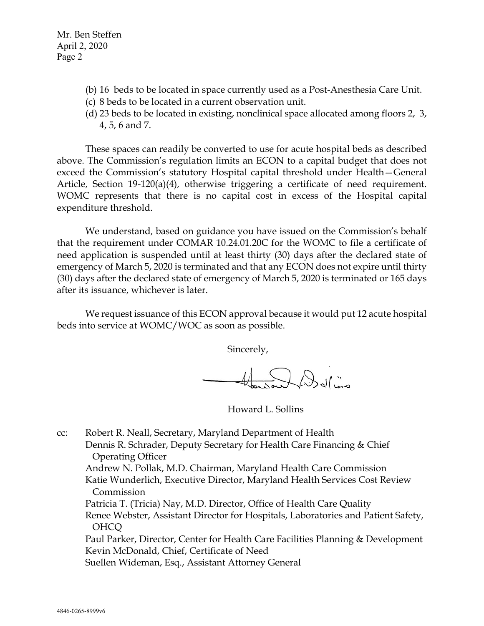Mr. Ben Steffen April 2, 2020 Page 2

- (b) 16 beds to be located in space currently used as a Post-Anesthesia Care Unit.
- (c) 8 beds to be located in a current observation unit.
- (d) 23 beds to be located in existing, nonclinical space allocated among floors 2, 3, 4, 5, 6 and 7.

These spaces can readily be converted to use for acute hospital beds as described above. The Commission's regulation limits an ECON to a capital budget that does not exceed the Commission's statutory Hospital capital threshold under Health—General Article, Section 19-120(a)(4), otherwise triggering a certificate of need requirement. WOMC represents that there is no capital cost in excess of the Hospital capital expenditure threshold.

We understand, based on guidance you have issued on the Commission's behalf that the requirement under COMAR 10.24.01.20C for the WOMC to file a certificate of need application is suspended until at least thirty (30) days after the declared state of emergency of March 5, 2020 is terminated and that any ECON does not expire until thirty (30) days after the declared state of emergency of March 5, 2020 is terminated or 165 days after its issuance, whichever is later.

We request issuance of this ECON approval because it would put 12 acute hospital beds into service at WOMC/WOC as soon as possible.

Sincerely,

Sould be

Howard L. Sollins

cc: Robert R. Neall, Secretary, Maryland Department of Health Dennis R. Schrader, Deputy Secretary for Health Care Financing & Chief Operating Officer Andrew N. Pollak, M.D. Chairman, Maryland Health Care Commission Katie Wunderlich, Executive Director, Maryland Health Services Cost Review Commission Patricia T. (Tricia) Nay, M.D. Director, Office of Health Care Quality Renee Webster, Assistant Director for Hospitals, Laboratories and Patient Safety, OHCQ Paul Parker, Director, Center for Health Care Facilities Planning & Development Kevin McDonald, Chief, Certificate of Need Suellen Wideman, Esq., Assistant Attorney General